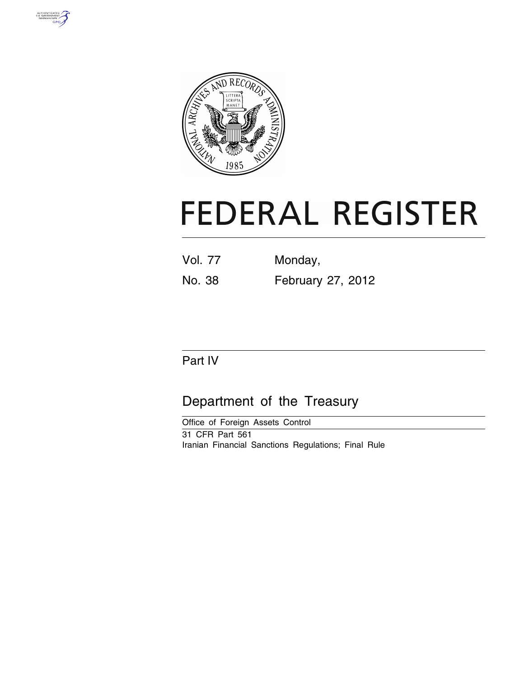



# **FEDERAL REGISTER**

Vol. 77 Monday, No. 38 February 27, 2012

# Part IV

# Department of the Treasury

Office of Foreign Assets Control 31 CFR Part 561 Iranian Financial Sanctions Regulations; Final Rule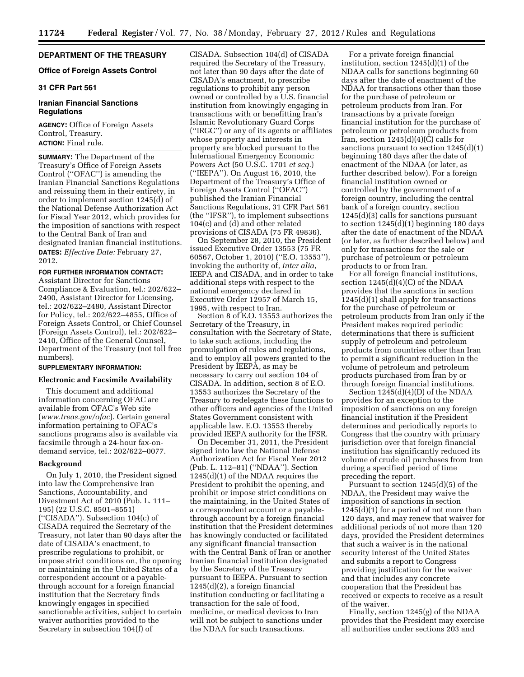# **DEPARTMENT OF THE TREASURY**

# **Office of Foreign Assets Control**

# **31 CFR Part 561**

# **Iranian Financial Sanctions Regulations**

**AGENCY:** Office of Foreign Assets Control, Treasury. **ACTION:** Final rule.

**SUMMARY:** The Department of the Treasury's Office of Foreign Assets Control (''OFAC'') is amending the Iranian Financial Sanctions Regulations and reissuing them in their entirety, in order to implement section 1245(d) of the National Defense Authorization Act for Fiscal Year 2012, which provides for the imposition of sanctions with respect to the Central Bank of Iran and designated Iranian financial institutions. **DATES:** *Effective Date:* February 27, 2012.

# **FOR FURTHER INFORMATION CONTACT:**

Assistant Director for Sanctions Compliance & Evaluation, tel.: 202/622– 2490, Assistant Director for Licensing, tel.: 202/622–2480, Assistant Director for Policy, tel.: 202/622–4855, Office of Foreign Assets Control, or Chief Counsel (Foreign Assets Control), tel.: 202/622– 2410, Office of the General Counsel, Department of the Treasury (not toll free numbers).

# **SUPPLEMENTARY INFORMATION:**

# **Electronic and Facsimile Availability**

This document and additional information concerning OFAC are available from OFAC's Web site (*[www.treas.gov/ofac](http://www.treas.gov/ofac)*). Certain general information pertaining to OFAC's sanctions programs also is available via facsimile through a 24-hour fax-ondemand service, tel.: 202/622–0077.

# **Background**

On July 1, 2010, the President signed into law the Comprehensive Iran Sanctions, Accountability, and Divestment Act of 2010 (Pub. L. 111– 195) (22 U.S.C. 8501–8551) (''CISADA''). Subsection 104(c) of CISADA required the Secretary of the Treasury, not later than 90 days after the date of CISADA's enactment, to prescribe regulations to prohibit, or impose strict conditions on, the opening or maintaining in the United States of a correspondent account or a payablethrough account for a foreign financial institution that the Secretary finds knowingly engages in specified sanctionable activities, subject to certain waiver authorities provided to the Secretary in subsection 104(f) of

CISADA. Subsection 104(d) of CISADA required the Secretary of the Treasury, not later than 90 days after the date of CISADA's enactment, to prescribe regulations to prohibit any person owned or controlled by a U.S. financial institution from knowingly engaging in transactions with or benefitting Iran's Islamic Revolutionary Guard Corps (''IRGC'') or any of its agents or affiliates whose property and interests in property are blocked pursuant to the International Emergency Economic Powers Act (50 U.S.C. 1701 *et seq.*) (''IEEPA''). On August 16, 2010, the Department of the Treasury's Office of Foreign Assets Control (''OFAC'') published the Iranian Financial Sanctions Regulations, 31 CFR Part 561 (the ''IFSR''), to implement subsections 104(c) and (d) and other related provisions of CISADA (75 FR 49836).

On September 28, 2010, the President issued Executive Order 13553 (75 FR 60567, October 1, 2010) (''E.O. 13553''), invoking the authority of, *inter alia*, IEEPA and CISADA, and in order to take additional steps with respect to the national emergency declared in Executive Order 12957 of March 15, 1995, with respect to Iran.

Section 8 of E.O. 13553 authorizes the Secretary of the Treasury, in consultation with the Secretary of State, to take such actions, including the promulgation of rules and regulations, and to employ all powers granted to the President by IEEPA, as may be necessary to carry out section 104 of CISADA. In addition, section 8 of E.O. 13553 authorizes the Secretary of the Treasury to redelegate these functions to other officers and agencies of the United States Government consistent with applicable law. E.O. 13553 thereby provided IEEPA authority for the IFSR.

On December 31, 2011, the President signed into law the National Defense Authorization Act for Fiscal Year 2012 (Pub. L. 112–81) (''NDAA''). Section 1245(d)(1) of the NDAA requires the President to prohibit the opening, and prohibit or impose strict conditions on the maintaining, in the United States of a correspondent account or a payablethrough account by a foreign financial institution that the President determines has knowingly conducted or facilitated any significant financial transaction with the Central Bank of Iran or another Iranian financial institution designated by the Secretary of the Treasury pursuant to IEEPA. Pursuant to section 1245(d)(2), a foreign financial institution conducting or facilitating a transaction for the sale of food, medicine, or medical devices to Iran will not be subject to sanctions under the NDAA for such transactions.

For a private foreign financial institution, section 1245(d)(1) of the NDAA calls for sanctions beginning 60 days after the date of enactment of the NDAA for transactions other than those for the purchase of petroleum or petroleum products from Iran. For transactions by a private foreign financial institution for the purchase of petroleum or petroleum products from Iran, section  $1245(d)(4)(C)$  calls for sanctions pursuant to section 1245(d)(1) beginning 180 days after the date of enactment of the NDAA (or later, as further described below). For a foreign financial institution owned or controlled by the government of a foreign country, including the central bank of a foreign country, section 1245(d)(3) calls for sanctions pursuant to section  $1245(d)(1)$  beginning 180 days after the date of enactment of the NDAA (or later, as further described below) and only for transactions for the sale or purchase of petroleum or petroleum products to or from Iran.

For all foreign financial institutions, section 1245(d)(4)(C) of the NDAA provides that the sanctions in section  $1245(d)(1)$  shall apply for transactions for the purchase of petroleum or petroleum products from Iran only if the President makes required periodic determinations that there is sufficient supply of petroleum and petroleum products from countries other than Iran to permit a significant reduction in the volume of petroleum and petroleum products purchased from Iran by or through foreign financial institutions.

Section 1245(d)(4)(D) of the NDAA provides for an exception to the imposition of sanctions on any foreign financial institution if the President determines and periodically reports to Congress that the country with primary jurisdiction over that foreign financial institution has significantly reduced its volume of crude oil purchases from Iran during a specified period of time preceding the report.

Pursuant to section 1245(d)(5) of the NDAA, the President may waive the imposition of sanctions in section 1245(d)(1) for a period of not more than 120 days, and may renew that waiver for additional periods of not more than 120 days, provided the President determines that such a waiver is in the national security interest of the United States and submits a report to Congress providing justification for the waiver and that includes any concrete cooperation that the President has received or expects to receive as a result of the waiver.

Finally, section 1245(g) of the NDAA provides that the President may exercise all authorities under sections 203 and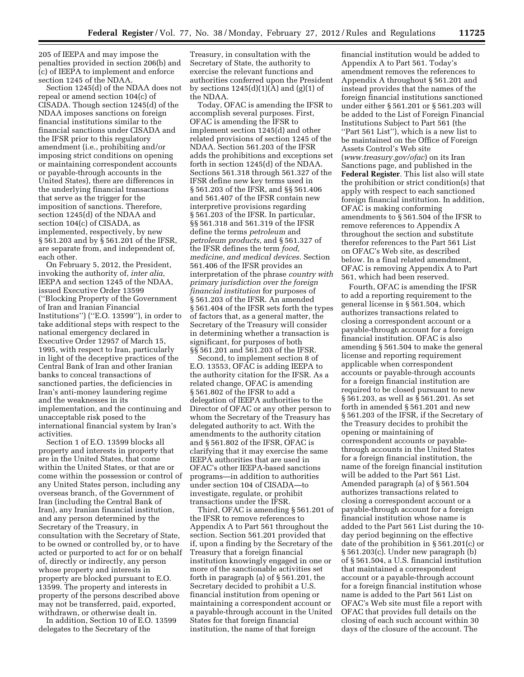205 of IEEPA and may impose the penalties provided in section 206(b) and (c) of IEEPA to implement and enforce section 1245 of the NDAA.

Section 1245(d) of the NDAA does not repeal or amend section 104(c) of CISADA. Though section 1245(d) of the NDAA imposes sanctions on foreign financial institutions similar to the financial sanctions under CISADA and the IFSR prior to this regulatory amendment (i.e., prohibiting and/or imposing strict conditions on opening or maintaining correspondent accounts or payable-through accounts in the United States), there are differences in the underlying financial transactions that serve as the trigger for the imposition of sanctions. Therefore, section 1245(d) of the NDAA and section 104(c) of CISADA, as implemented, respectively, by new § 561.203 and by § 561.201 of the IFSR, are separate from, and independent of, each other.

On February 5, 2012, the President, invoking the authority of, *inter alia,*  IEEPA and section 1245 of the NDAA, issued Executive Order 13599 (''Blocking Property of the Government of Iran and Iranian Financial Institutions'') (''E.O. 13599''), in order to take additional steps with respect to the national emergency declared in Executive Order 12957 of March 15, 1995, with respect to Iran, particularly in light of the deceptive practices of the Central Bank of Iran and other Iranian banks to conceal transactions of sanctioned parties, the deficiencies in Iran's anti-money laundering regime and the weaknesses in its implementation, and the continuing and unacceptable risk posed to the international financial system by Iran's activities.

Section 1 of E.O. 13599 blocks all property and interests in property that are in the United States, that come within the United States, or that are or come within the possession or control of any United States person, including any overseas branch, of the Government of Iran (including the Central Bank of Iran), any Iranian financial institution, and any person determined by the Secretary of the Treasury, in consultation with the Secretary of State, to be owned or controlled by, or to have acted or purported to act for or on behalf of, directly or indirectly, any person whose property and interests in property are blocked pursuant to E.O. 13599. The property and interests in property of the persons described above may not be transferred, paid, exported, withdrawn, or otherwise dealt in.

In addition, Section 10 of E.O. 13599 delegates to the Secretary of the

Treasury, in consultation with the Secretary of State, the authority to exercise the relevant functions and authorities conferred upon the President by sections  $1245(d)(1)(A)$  and  $(g)(1)$  of the NDAA.

Today, OFAC is amending the IFSR to accomplish several purposes. First, OFAC is amending the IFSR to implement section 1245(d) and other related provisions of section 1245 of the NDAA. Section 561.203 of the IFSR adds the prohibitions and exceptions set forth in section 1245(d) of the NDAA. Sections 561.318 through 561.327 of the IFSR define new key terms used in § 561.203 of the IFSR, and §§ 561.406 and 561.407 of the IFSR contain new interpretive provisions regarding § 561.203 of the IFSR. In particular, §§ 561.318 and 561.319 of the IFSR define the terms *petroleum* and *petroleum products,* and § 561.327 of the IFSR defines the term *food, medicine, and medical devices.* Section 561.406 of the IFSR provides an interpretation of the phrase *country with primary jurisdiction over the foreign financial institution* for purposes of § 561.203 of the IFSR. An amended § 561.404 of the IFSR sets forth the types of factors that, as a general matter, the Secretary of the Treasury will consider in determining whether a transaction is significant, for purposes of both §§ 561.201 and 561.203 of the IFSR.

Second, to implement section 8 of E.O. 13553, OFAC is adding IEEPA to the authority citation for the IFSR. As a related change, OFAC is amending § 561.802 of the IFSR to add a delegation of IEEPA authorities to the Director of OFAC or any other person to whom the Secretary of the Treasury has delegated authority to act. With the amendments to the authority citation and § 561.802 of the IFSR, OFAC is clarifying that it may exercise the same IEEPA authorities that are used in OFAC's other IEEPA-based sanctions programs—in addition to authorities under section 104 of CISADA—to investigate, regulate, or prohibit transactions under the IFSR.

Third, OFAC is amending § 561.201 of the IFSR to remove references to Appendix A to Part 561 throughout the section. Section 561.201 provided that if, upon a finding by the Secretary of the Treasury that a foreign financial institution knowingly engaged in one or more of the sanctionable activities set forth in paragraph (a) of § 561.201, the Secretary decided to prohibit a U.S. financial institution from opening or maintaining a correspondent account or a payable-through account in the United States for that foreign financial institution, the name of that foreign

financial institution would be added to Appendix A to Part 561. Today's amendment removes the references to Appendix A throughout § 561.201 and instead provides that the names of the foreign financial institutions sanctioned under either § 561.201 or § 561.203 will be added to the List of Foreign Financial Institutions Subject to Part 561 (the ''Part 561 List''), which is a new list to be maintained on the Office of Foreign Assets Control's Web site (*[www.treasury.gov/ofac](http://www.treasury.gov/ofac)*) on its Iran Sanctions page, and published in the **Federal Register**. This list also will state the prohibition or strict condition(s) that apply with respect to each sanctioned foreign financial institution. In addition, OFAC is making conforming amendments to § 561.504 of the IFSR to remove references to Appendix A throughout the section and substitute therefor references to the Part 561 List on OFAC's Web site, as described below. In a final related amendment, OFAC is removing Appendix A to Part 561, which had been reserved.

Fourth, OFAC is amending the IFSR to add a reporting requirement to the general license in § 561.504, which authorizes transactions related to closing a correspondent account or a payable-through account for a foreign financial institution. OFAC is also amending § 561.504 to make the general license and reporting requirement applicable when correspondent accounts or payable-through accounts for a foreign financial institution are required to be closed pursuant to new § 561.203, as well as § 561.201. As set forth in amended § 561.201 and new § 561.203 of the IFSR, if the Secretary of the Treasury decides to prohibit the opening or maintaining of correspondent accounts or payablethrough accounts in the United States for a foreign financial institution, the name of the foreign financial institution will be added to the Part 561 List. Amended paragraph (a) of § 561.504 authorizes transactions related to closing a correspondent account or a payable-through account for a foreign financial institution whose name is added to the Part 561 List during the 10 day period beginning on the effective date of the prohibition in § 561.201(c) or § 561.203(c). Under new paragraph (b) of § 561.504, a U.S. financial institution that maintained a correspondent account or a payable-through account for a foreign financial institution whose name is added to the Part 561 List on OFAC's Web site must file a report with OFAC that provides full details on the closing of each such account within 30 days of the closure of the account. The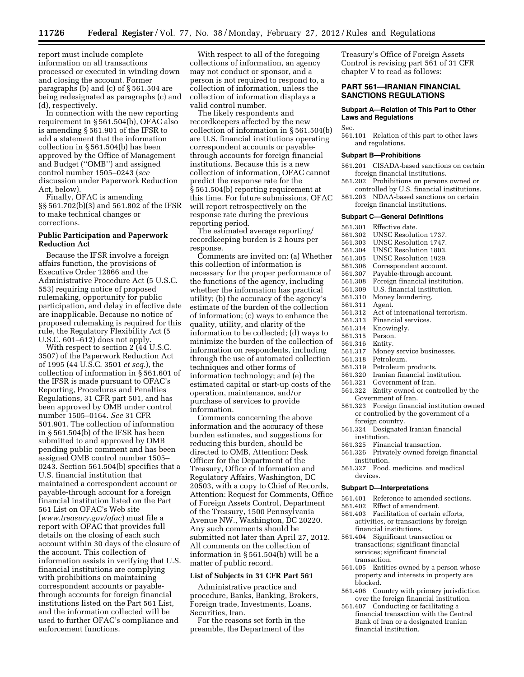report must include complete information on all transactions processed or executed in winding down and closing the account. Former paragraphs (b) and (c) of § 561.504 are being redesignated as paragraphs (c) and (d), respectively.

In connection with the new reporting requirement in  $\S 561.504(b)$ , OFAC also is amending § 561.901 of the IFSR to add a statement that the information collection in § 561.504(b) has been approved by the Office of Management and Budget (''OMB'') and assigned control number 1505–0243 (*see*  discussion under Paperwork Reduction Act, below).

Finally, OFAC is amending §§ 561.702(b)(3) and 561.802 of the IFSR to make technical changes or corrections.

# **Public Participation and Paperwork Reduction Act**

Because the IFSR involve a foreign affairs function, the provisions of Executive Order 12866 and the Administrative Procedure Act (5 U.S.C. 553) requiring notice of proposed rulemaking, opportunity for public participation, and delay in effective date are inapplicable. Because no notice of proposed rulemaking is required for this rule, the Regulatory Flexibility Act (5 U.S.C. 601–612) does not apply.

With respect to section  $2(44 \text{ U.S.C.})$ 3507) of the Paperwork Reduction Act of 1995 (44 U.S.C. 3501 *et seq.*), the collection of information in § 561.601 of the IFSR is made pursuant to OFAC's Reporting, Procedures and Penalties Regulations, 31 CFR part 501, and has been approved by OMB under control number 1505–0164. *See* 31 CFR 501.901. The collection of information in § 561.504(b) of the IFSR has been submitted to and approved by OMB pending public comment and has been assigned OMB control number 1505– 0243. Section 561.504(b) specifies that a U.S. financial institution that maintained a correspondent account or payable-through account for a foreign financial institution listed on the Part 561 List on OFAC's Web site (*[www.treasury.gov/ofac](http://www.treasury.gov/ofac)*) must file a report with OFAC that provides full details on the closing of each such account within 30 days of the closure of the account. This collection of information assists in verifying that U.S. financial institutions are complying with prohibitions on maintaining correspondent accounts or payablethrough accounts for foreign financial institutions listed on the Part 561 List, and the information collected will be used to further OFAC's compliance and enforcement functions.

With respect to all of the foregoing collections of information, an agency may not conduct or sponsor, and a person is not required to respond to, a collection of information, unless the collection of information displays a valid control number.

The likely respondents and recordkeepers affected by the new collection of information in § 561.504(b) are U.S. financial institutions operating correspondent accounts or payablethrough accounts for foreign financial institutions. Because this is a new collection of information, OFAC cannot predict the response rate for the § 561.504(b) reporting requirement at this time. For future submissions, OFAC will report retrospectively on the response rate during the previous reporting period.

The estimated average reporting/ recordkeeping burden is 2 hours per response.

Comments are invited on: (a) Whether this collection of information is necessary for the proper performance of the functions of the agency, including whether the information has practical utility; (b) the accuracy of the agency's estimate of the burden of the collection of information; (c) ways to enhance the quality, utility, and clarity of the information to be collected; (d) ways to minimize the burden of the collection of information on respondents, including through the use of automated collection techniques and other forms of information technology; and (e) the estimated capital or start-up costs of the operation, maintenance, and/or purchase of services to provide information.

Comments concerning the above information and the accuracy of these burden estimates, and suggestions for reducing this burden, should be directed to OMB, Attention: Desk Officer for the Department of the Treasury, Office of Information and Regulatory Affairs, Washington, DC 20503, with a copy to Chief of Records, Attention: Request for Comments, Office of Foreign Assets Control, Department of the Treasury, 1500 Pennsylvania Avenue NW., Washington, DC 20220. Any such comments should be submitted not later than April 27, 2012. All comments on the collection of information in § 561.504(b) will be a matter of public record.

#### **List of Subjects in 31 CFR Part 561**

Administrative practice and procedure, Banks, Banking, Brokers, Foreign trade, Investments, Loans, Securities, Iran.

For the reasons set forth in the preamble, the Department of the

Treasury's Office of Foreign Assets Control is revising part 561 of 31 CFR chapter V to read as follows:

# **PART 561—IRANIAN FINANCIAL SANCTIONS REGULATIONS**

# **Subpart A—Relation of This Part to Other Laws and Regulations**

Sec.

561.101 Relation of this part to other laws and regulations.

# **Subpart B—Prohibitions**

- 561.201 CISADA-based sanctions on certain foreign financial institutions.
- 561.202 Prohibitions on persons owned or controlled by U.S. financial institutions.
- 561.203 NDAA-based sanctions on certain foreign financial institutions.

#### **Subpart C—General Definitions**

- 
- 561.301 Effective date. UNSC Resolution 1737.
- 561.303 UNSC Resolution 1747.
- 561.304 UNSC Resolution 1803.<br>561.305 UNSC Resolution 1929
- 
- 561.305 UNSC Resolution 1929.<br>561.306 Correspondent account.
- 561.306 Correspondent account.<br>561.307 Pavable-through accoun
- 561.307 Payable-through account. Foreign financial institution.
- 561.309 U.S. financial institution.
- 561.310 Money laundering.
- 561.311
	-
- 561.312 Act of international terrorism.<br>561.313 Financial services.
- 561.313 Financial services.<br>561.314 Knowingly Knowingly.
- 
- 561.315 Person.
- 561.316 Entity. 561.317 Money service businesses.<br>561.318 Petroleum.
- Petroleum.
- 
- 561.319 Petroleum products.<br>561.320 Iranian financial insi Iranian financial institution.
- 
- 561.321 Government of Iran.<br>561.322 Entity owned or con 561.322 Entity owned or controlled by the Government of Iran.
- 561.323 Foreign financial institution owned or controlled by the government of a
- foreign country. 561.324 Designated Iranian financial institution.
- 561.325 Financial transaction.
- 561.326 Privately owned foreign financial institution.
- 561.327 Food, medicine, and medical devices.

#### **Subpart D—Interpretations**

- 561.401 Reference to amended sections.<br>561.402 Effect of amendment.
- Effect of amendment.
- 561.403 Facilitation of certain efforts, activities, or transactions by foreign financial institutions.
- 561.404 Significant transaction or transactions; significant financial services; significant financial transaction.
- 561.405 Entities owned by a person whose property and interests in property are blocked.
- 561.406 Country with primary jurisdiction over the foreign financial institution.
- 561.407 Conducting or facilitating a financial transaction with the Central Bank of Iran or a designated Iranian financial institution.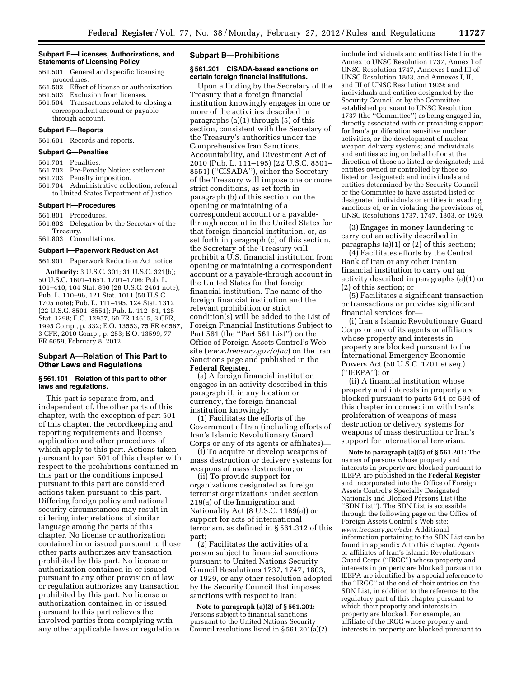#### **Subpart E—Licenses, Authorizations, and Statements of Licensing Policy**

- 561.501 General and specific licensing procedures.
- 561.502 Effect of license or authorization.
- 561.503 Exclusion from licenses.
- 561.504 Transactions related to closing a correspondent account or payablethrough account.

# **Subpart F—Reports**

561.601 Records and reports.

#### **Subpart G—Penalties**

#### 561.701 Penalties.

- 561.702 Pre-Penalty Notice; settlement.
- 561.703 Penalty imposition.
- 561.704 Administrative collection; referral to United States Department of Justice.

# **Subpart H—Procedures**

- 561.801 Procedures.
- 561.802 Delegation by the Secretary of the Treasury.

# 561.803 Consultations.

# **Subpart I—Paperwork Reduction Act**

561.901 Paperwork Reduction Act notice.

**Authority:** 3 U.S.C. 301; 31 U.S.C. 321(b); 50 U.S.C. 1601–1651, 1701–1706; Pub. L. 101–410, 104 Stat. 890 (28 U.S.C. 2461 note); Pub. L. 110–96, 121 Stat. 1011 (50 U.S.C. 1705 note); Pub. L. 111–195, 124 Stat. 1312 (22 U.S.C. 8501–8551); Pub. L. 112–81, 125 Stat. 1298; E.O. 12957, 60 FR 14615, 3 CFR, 1995 Comp., p. 332; E.O. 13553, 75 FR 60567, 3 CFR, 2010 Comp., p. 253; E.O. 13599, 77 FR 6659, February 8, 2012.

# **Subpart A—Relation of This Part to Other Laws and Regulations**

#### **§ 561.101 Relation of this part to other laws and regulations.**

This part is separate from, and independent of, the other parts of this chapter, with the exception of part 501 of this chapter, the recordkeeping and reporting requirements and license application and other procedures of which apply to this part. Actions taken pursuant to part 501 of this chapter with respect to the prohibitions contained in this part or the conditions imposed pursuant to this part are considered actions taken pursuant to this part. Differing foreign policy and national security circumstances may result in differing interpretations of similar language among the parts of this chapter. No license or authorization contained in or issued pursuant to those other parts authorizes any transaction prohibited by this part. No license or authorization contained in or issued pursuant to any other provision of law or regulation authorizes any transaction prohibited by this part. No license or authorization contained in or issued pursuant to this part relieves the involved parties from complying with any other applicable laws or regulations.

# **Subpart B—Prohibitions**

# **§ 561.201 CISADA-based sanctions on certain foreign financial institutions.**

Upon a finding by the Secretary of the Treasury that a foreign financial institution knowingly engages in one or more of the activities described in paragraphs (a)(1) through (5) of this section, consistent with the Secretary of the Treasury's authorities under the Comprehensive Iran Sanctions, Accountability, and Divestment Act of 2010 (Pub. L. 111–195) (22 U.S.C. 8501– 8551) (''CISADA''), either the Secretary of the Treasury will impose one or more strict conditions, as set forth in paragraph (b) of this section, on the opening or maintaining of a correspondent account or a payablethrough account in the United States for that foreign financial institution, or, as set forth in paragraph (c) of this section, the Secretary of the Treasury will prohibit a U.S. financial institution from opening or maintaining a correspondent account or a payable-through account in the United States for that foreign financial institution. The name of the foreign financial institution and the relevant prohibition or strict condition(s) will be added to the List of Foreign Financial Institutions Subject to Part 561 (the ''Part 561 List'') on the Office of Foreign Assets Control's Web site (*[www.treasury.gov/ofac](http://www.treasury.gov/ofac)*) on the Iran Sanctions page and published in the **Federal Register**.

(a) A foreign financial institution engages in an activity described in this paragraph if, in any location or currency, the foreign financial institution knowingly:

(1) Facilitates the efforts of the Government of Iran (including efforts of Iran's Islamic Revolutionary Guard Corps or any of its agents or affiliates)—

(i) To acquire or develop weapons of mass destruction or delivery systems for weapons of mass destruction; or

(ii) To provide support for organizations designated as foreign terrorist organizations under section 219(a) of the Immigration and Nationality Act (8 U.S.C. 1189(a)) or support for acts of international terrorism, as defined in § 561.312 of this part;

(2) Facilitates the activities of a person subject to financial sanctions pursuant to United Nations Security Council Resolutions 1737, 1747, 1803, or 1929, or any other resolution adopted by the Security Council that imposes sanctions with respect to Iran;

**Note to paragraph (a)(2) of § 561.201:**  Persons subject to financial sanctions pursuant to the United Nations Security Council resolutions listed in § 561.201(a)(2)

include individuals and entities listed in the Annex to UNSC Resolution 1737, Annex I of UNSC Resolution 1747, Annexes I and III of UNSC Resolution 1803, and Annexes I, II, and III of UNSC Resolution 1929; and individuals and entities designated by the Security Council or by the Committee established pursuant to UNSC Resolution 1737 (the ''Committee'') as being engaged in, directly associated with or providing support for Iran's proliferation sensitive nuclear activities, or the development of nuclear weapon delivery systems; and individuals and entities acting on behalf of or at the direction of those so listed or designated; and entities owned or controlled by those so listed or designated; and individuals and entities determined by the Security Council or the Committee to have assisted listed or designated individuals or entities in evading sanctions of, or in violating the provisions of, UNSC Resolutions 1737, 1747, 1803, or 1929.

(3) Engages in money laundering to carry out an activity described in paragraphs (a)(1) or (2) of this section;

(4) Facilitates efforts by the Central Bank of Iran or any other Iranian financial institution to carry out an activity described in paragraphs (a)(1) or (2) of this section; or

(5) Facilitates a significant transaction or transactions or provides significant financial services for—

(i) Iran's Islamic Revolutionary Guard Corps or any of its agents or affiliates whose property and interests in property are blocked pursuant to the International Emergency Economic Powers Act (50 U.S.C. 1701 *et seq.*) (''IEEPA''); or

(ii) A financial institution whose property and interests in property are blocked pursuant to parts 544 or 594 of this chapter in connection with Iran's proliferation of weapons of mass destruction or delivery systems for weapons of mass destruction or Iran's support for international terrorism.

**Note to paragraph (a)(5) of § 561.201:** The names of persons whose property and interests in property are blocked pursuant to IEEPA are published in the **Federal Register**  and incorporated into the Office of Foreign Assets Control's Specially Designated Nationals and Blocked Persons List (the ''SDN List''). The SDN List is accessible through the following page on the Office of Foreign Assets Control's Web site: *[www.treasury.gov/sdn.](http://www.treasury.gov/sdn)* Additional information pertaining to the SDN List can be found in appendix A to this chapter. Agents or affiliates of Iran's Islamic Revolutionary Guard Corps (''IRGC'') whose property and interests in property are blocked pursuant to IEEPA are identified by a special reference to the ''IRGC'' at the end of their entries on the SDN List, in addition to the reference to the regulatory part of this chapter pursuant to which their property and interests in property are blocked. For example, an affiliate of the IRGC whose property and interests in property are blocked pursuant to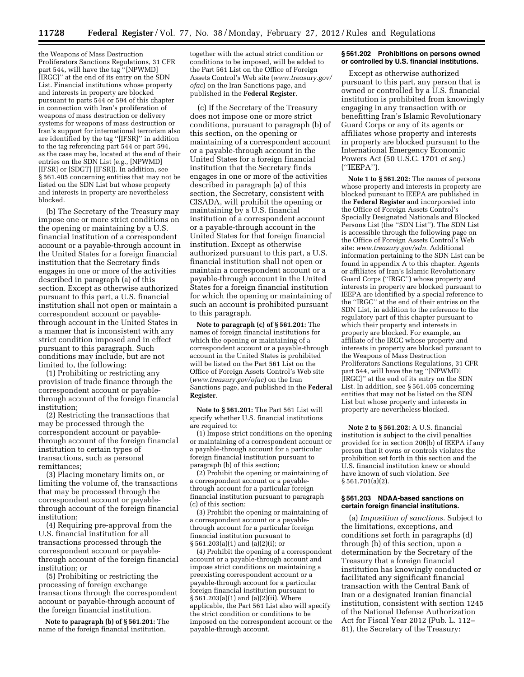the Weapons of Mass Destruction Proliferators Sanctions Regulations, 31 CFR part 544, will have the tag ''[NPWMD] [IRGC]'' at the end of its entry on the SDN List. Financial institutions whose property and interests in property are blocked pursuant to parts 544 or 594 of this chapter in connection with Iran's proliferation of weapons of mass destruction or delivery systems for weapons of mass destruction or Iran's support for international terrorism also are identified by the tag ''[IFSR]'' in addition to the tag referencing part 544 or part 594, as the case may be, located at the end of their entries on the SDN List (e.g., [NPWMD] [IFSR] or [SDGT] [IFSR]). In addition, see § 561.405 concerning entities that may not be listed on the SDN List but whose property and interests in property are nevertheless blocked.

(b) The Secretary of the Treasury may impose one or more strict conditions on the opening or maintaining by a U.S. financial institution of a correspondent account or a payable-through account in the United States for a foreign financial institution that the Secretary finds engages in one or more of the activities described in paragraph (a) of this section. Except as otherwise authorized pursuant to this part, a U.S. financial institution shall not open or maintain a correspondent account or payablethrough account in the United States in a manner that is inconsistent with any strict condition imposed and in effect pursuant to this paragraph. Such conditions may include, but are not limited to, the following:

(1) Prohibiting or restricting any provision of trade finance through the correspondent account or payablethrough account of the foreign financial institution;

(2) Restricting the transactions that may be processed through the correspondent account or payablethrough account of the foreign financial institution to certain types of transactions, such as personal remittances;

(3) Placing monetary limits on, or limiting the volume of, the transactions that may be processed through the correspondent account or payablethrough account of the foreign financial institution;

(4) Requiring pre-approval from the U.S. financial institution for all transactions processed through the correspondent account or payablethrough account of the foreign financial institution; or

(5) Prohibiting or restricting the processing of foreign exchange transactions through the correspondent account or payable-through account of the foreign financial institution.

**Note to paragraph (b) of § 561.201:** The name of the foreign financial institution,

together with the actual strict condition or conditions to be imposed, will be added to the Part 561 List on the Office of Foreign Assets Control's Web site (*[www.treasury.gov/](http://www.treasury.gov/ofac)  [ofac](http://www.treasury.gov/ofac)*) on the Iran Sanctions page, and published in the **Federal Register**.

(c) If the Secretary of the Treasury does not impose one or more strict conditions, pursuant to paragraph (b) of this section, on the opening or maintaining of a correspondent account or a payable-through account in the United States for a foreign financial institution that the Secretary finds engages in one or more of the activities described in paragraph (a) of this section, the Secretary, consistent with CISADA, will prohibit the opening or maintaining by a U.S. financial institution of a correspondent account or a payable-through account in the United States for that foreign financial institution. Except as otherwise authorized pursuant to this part, a U.S. financial institution shall not open or maintain a correspondent account or a payable-through account in the United States for a foreign financial institution for which the opening or maintaining of such an account is prohibited pursuant to this paragraph.

**Note to paragraph (c) of § 561.201:** The names of foreign financial institutions for which the opening or maintaining of a correspondent account or a payable-through account in the United States is prohibited will be listed on the Part 561 List on the Office of Foreign Assets Control's Web site (*[www.treasury.gov/ofac](http://www.treasury.gov/ofac)*) on the Iran Sanctions page, and published in the **Federal Register**.

**Note to § 561.201:** The Part 561 List will specify whether U.S. financial institutions are required to:

(1) Impose strict conditions on the opening or maintaining of a correspondent account or a payable-through account for a particular foreign financial institution pursuant to paragraph (b) of this section;

(2) Prohibit the opening or maintaining of a correspondent account or a payablethrough account for a particular foreign financial institution pursuant to paragraph (c) of this section;

(3) Prohibit the opening or maintaining of a correspondent account or a payablethrough account for a particular foreign financial institution pursuant to § 561.203(a)(1) and (a)(2)(i); or

(4) Prohibit the opening of a correspondent account or a payable-through account and impose strict conditions on maintaining a preexisting correspondent account or a payable-through account for a particular foreign financial institution pursuant to § 561.203(a)(1) and (a)(2)(ii). Where applicable, the Part 561 List also will specify the strict condition or conditions to be imposed on the correspondent account or the payable-through account.

#### **§ 561.202 Prohibitions on persons owned or controlled by U.S. financial institutions.**

Except as otherwise authorized pursuant to this part, any person that is owned or controlled by a U.S. financial institution is prohibited from knowingly engaging in any transaction with or benefitting Iran's Islamic Revolutionary Guard Corps or any of its agents or affiliates whose property and interests in property are blocked pursuant to the International Emergency Economic Powers Act (50 U.S.C. 1701 *et seq.*) (''IEEPA'').

**Note 1 to § 561.202:** The names of persons whose property and interests in property are blocked pursuant to IEEPA are published in the **Federal Register** and incorporated into the Office of Foreign Assets Control's Specially Designated Nationals and Blocked Persons List (the ''SDN List''). The SDN List is accessible through the following page on the Office of Foreign Assets Control's Web site: *[www.treasury.gov/sdn.](http://www.treasury.gov/sdn)* Additional information pertaining to the SDN List can be found in appendix A to this chapter. Agents or affiliates of Iran's Islamic Revolutionary Guard Corps (''IRGC'') whose property and interests in property are blocked pursuant to IEEPA are identified by a special reference to the ''IRGC'' at the end of their entries on the SDN List, in addition to the reference to the regulatory part of this chapter pursuant to which their property and interests in property are blocked. For example, an affiliate of the IRGC whose property and interests in property are blocked pursuant to the Weapons of Mass Destruction Proliferators Sanctions Regulations, 31 CFR part 544, will have the tag ''[NPWMD] [IRGC]'' at the end of its entry on the SDN List. In addition, see § 561.405 concerning entities that may not be listed on the SDN List but whose property and interests in property are nevertheless blocked.

**Note 2 to § 561.202:** A U.S. financial institution is subject to the civil penalties provided for in section 206(b) of IEEPA if any person that it owns or controls violates the prohibition set forth in this section and the U.S. financial institution knew or should have known of such violation. *See*  § 561.701(a)(2).

# **§ 561.203 NDAA-based sanctions on certain foreign financial institutions.**

(a) *Imposition of sanctions.* Subject to the limitations, exceptions, and conditions set forth in paragraphs (d) through (h) of this section, upon a determination by the Secretary of the Treasury that a foreign financial institution has knowingly conducted or facilitated any significant financial transaction with the Central Bank of Iran or a designated Iranian financial institution, consistent with section 1245 of the National Defense Authorization Act for Fiscal Year 2012 (Pub. L. 112– 81), the Secretary of the Treasury: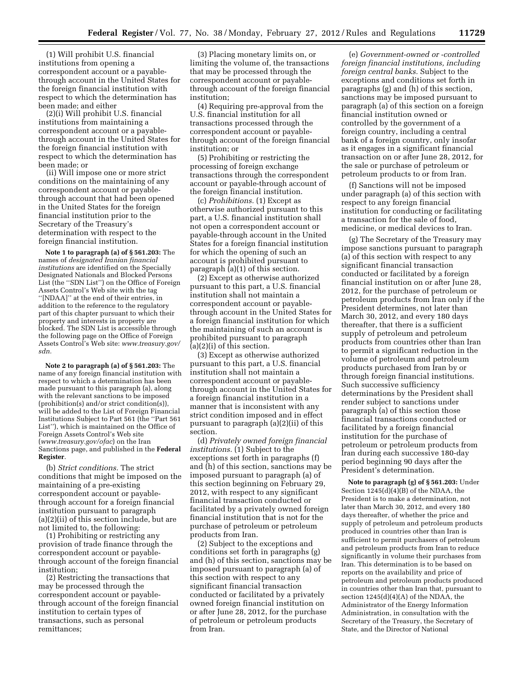(1) Will prohibit U.S. financial institutions from opening a correspondent account or a payablethrough account in the United States for the foreign financial institution with respect to which the determination has been made; and either

(2)(i) Will prohibit U.S. financial institutions from maintaining a correspondent account or a payablethrough account in the United States for the foreign financial institution with respect to which the determination has been made; or

(ii) Will impose one or more strict conditions on the maintaining of any correspondent account or payablethrough account that had been opened in the United States for the foreign financial institution prior to the Secretary of the Treasury's determination with respect to the foreign financial institution.

**Note 1 to paragraph (a) of § 561.203:** The names of *designated Iranian financial institutions* are identified on the Specially Designated Nationals and Blocked Persons List (the ''SDN List'') on the Office of Foreign Assets Control's Web site with the tag ''[NDAA]'' at the end of their entries, in addition to the reference to the regulatory part of this chapter pursuant to which their property and interests in property are blocked. The SDN List is accessible through the following page on the Office of Foreign Assets Control's Web site: *[www.treasury.gov/](http://www.treasury.gov/sdn)  [sdn.](http://www.treasury.gov/sdn)* 

**Note 2 to paragraph (a) of § 561.203:** The name of any foreign financial institution with respect to which a determination has been made pursuant to this paragraph (a), along with the relevant sanctions to be imposed (prohibition(s) and/or strict condition(s)), will be added to the List of Foreign Financial Institutions Subject to Part 561 (the ''Part 561 List''), which is maintained on the Office of Foreign Assets Control's Web site (*[www.treasury.gov/ofac](http://www.treasury.gov/ofac)*) on the Iran Sanctions page, and published in the **Federal Register**.

(b) *Strict conditions.* The strict conditions that might be imposed on the maintaining of a pre-existing correspondent account or payablethrough account for a foreign financial institution pursuant to paragraph (a)(2)(ii) of this section include, but are not limited to, the following:

(1) Prohibiting or restricting any provision of trade finance through the correspondent account or payablethrough account of the foreign financial institution;

(2) Restricting the transactions that may be processed through the correspondent account or payablethrough account of the foreign financial institution to certain types of transactions, such as personal remittances;

(3) Placing monetary limits on, or limiting the volume of, the transactions that may be processed through the correspondent account or payablethrough account of the foreign financial institution;

(4) Requiring pre-approval from the U.S. financial institution for all transactions processed through the correspondent account or payablethrough account of the foreign financial institution; or

(5) Prohibiting or restricting the processing of foreign exchange transactions through the correspondent account or payable-through account of the foreign financial institution.

(c) *Prohibitions.* (1) Except as otherwise authorized pursuant to this part, a U.S. financial institution shall not open a correspondent account or payable-through account in the United States for a foreign financial institution for which the opening of such an account is prohibited pursuant to paragraph (a)(1) of this section.

(2) Except as otherwise authorized pursuant to this part, a U.S. financial institution shall not maintain a correspondent account or payablethrough account in the United States for a foreign financial institution for which the maintaining of such an account is prohibited pursuant to paragraph (a)(2)(i) of this section.

(3) Except as otherwise authorized pursuant to this part, a U.S. financial institution shall not maintain a correspondent account or payablethrough account in the United States for a foreign financial institution in a manner that is inconsistent with any strict condition imposed and in effect pursuant to paragraph (a)(2)(ii) of this section.

(d) *Privately owned foreign financial institutions.* (1) Subject to the exceptions set forth in paragraphs (f) and (h) of this section, sanctions may be imposed pursuant to paragraph (a) of this section beginning on February 29, 2012, with respect to any significant financial transaction conducted or facilitated by a privately owned foreign financial institution that is not for the purchase of petroleum or petroleum products from Iran.

(2) Subject to the exceptions and conditions set forth in paragraphs (g) and (h) of this section, sanctions may be imposed pursuant to paragraph (a) of this section with respect to any significant financial transaction conducted or facilitated by a privately owned foreign financial institution on or after June 28, 2012, for the purchase of petroleum or petroleum products from Iran.

(e) *Government-owned or -controlled foreign financial institutions, including foreign central banks.* Subject to the exceptions and conditions set forth in paragraphs (g) and (h) of this section, sanctions may be imposed pursuant to paragraph (a) of this section on a foreign financial institution owned or controlled by the government of a foreign country, including a central bank of a foreign country, only insofar as it engages in a significant financial transaction on or after June 28, 2012, for the sale or purchase of petroleum or petroleum products to or from Iran.

(f) Sanctions will not be imposed under paragraph (a) of this section with respect to any foreign financial institution for conducting or facilitating a transaction for the sale of food, medicine, or medical devices to Iran.

(g) The Secretary of the Treasury may impose sanctions pursuant to paragraph (a) of this section with respect to any significant financial transaction conducted or facilitated by a foreign financial institution on or after June 28, 2012, for the purchase of petroleum or petroleum products from Iran only if the President determines, not later than March 30, 2012, and every 180 days thereafter, that there is a sufficient supply of petroleum and petroleum products from countries other than Iran to permit a significant reduction in the volume of petroleum and petroleum products purchased from Iran by or through foreign financial institutions. Such successive sufficiency determinations by the President shall render subject to sanctions under paragraph (a) of this section those financial transactions conducted or facilitated by a foreign financial institution for the purchase of petroleum or petroleum products from Iran during each successive 180-day period beginning 90 days after the President's determination.

**Note to paragraph (g) of § 561.203:** Under Section 1245(d)(4)(B) of the NDAA, the President is to make a determination, not later than March 30, 2012, and every 180 days thereafter, of whether the price and supply of petroleum and petroleum products produced in countries other than Iran is sufficient to permit purchasers of petroleum and petroleum products from Iran to reduce significantly in volume their purchases from Iran. This determination is to be based on reports on the availability and price of petroleum and petroleum products produced in countries other than Iran that, pursuant to section 1245(d)(4)(A) of the NDAA, the Administrator of the Energy Information Administration, in consultation with the Secretary of the Treasury, the Secretary of State, and the Director of National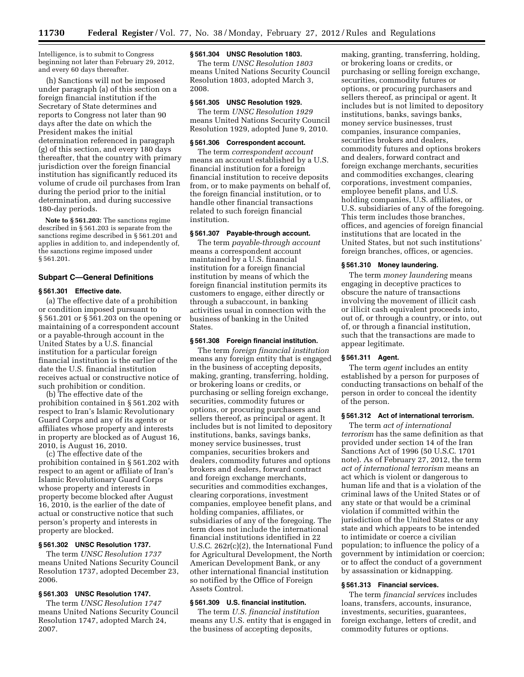Intelligence, is to submit to Congress beginning not later than February 29, 2012, and every 60 days thereafter.

(h) Sanctions will not be imposed under paragraph (a) of this section on a foreign financial institution if the Secretary of State determines and reports to Congress not later than 90 days after the date on which the President makes the initial determination referenced in paragraph (g) of this section, and every 180 days thereafter, that the country with primary jurisdiction over the foreign financial institution has significantly reduced its volume of crude oil purchases from Iran during the period prior to the initial determination, and during successive 180-day periods.

**Note to § 561.203:** The sanctions regime described in § 561.203 is separate from the sanctions regime described in § 561.201 and applies in addition to, and independently of, the sanctions regime imposed under § 561.201.

# **Subpart C—General Definitions**

# **§ 561.301 Effective date.**

(a) The effective date of a prohibition or condition imposed pursuant to § 561.201 or § 561.203 on the opening or maintaining of a correspondent account or a payable-through account in the United States by a U.S. financial institution for a particular foreign financial institution is the earlier of the date the U.S. financial institution receives actual or constructive notice of such prohibition or condition.

(b) The effective date of the prohibition contained in § 561.202 with respect to Iran's Islamic Revolutionary Guard Corps and any of its agents or affiliates whose property and interests in property are blocked as of August 16, 2010, is August 16, 2010.

(c) The effective date of the prohibition contained in § 561.202 with respect to an agent or affiliate of Iran's Islamic Revolutionary Guard Corps whose property and interests in property become blocked after August 16, 2010, is the earlier of the date of actual or constructive notice that such person's property and interests in property are blocked.

# **§ 561.302 UNSC Resolution 1737.**

The term *UNSC Resolution 1737*  means United Nations Security Council Resolution 1737, adopted December 23, 2006.

# **§ 561.303 UNSC Resolution 1747.**

The term *UNSC Resolution 1747*  means United Nations Security Council Resolution 1747, adopted March 24, 2007.

# **§ 561.304 UNSC Resolution 1803.**

The term *UNSC Resolution 1803*  means United Nations Security Council Resolution 1803, adopted March 3, 2008.

# **§ 561.305 UNSC Resolution 1929.**

The term *UNSC Resolution 1929*  means United Nations Security Council Resolution 1929, adopted June 9, 2010.

#### **§ 561.306 Correspondent account.**

The term *correspondent account*  means an account established by a U.S. financial institution for a foreign financial institution to receive deposits from, or to make payments on behalf of, the foreign financial institution, or to handle other financial transactions related to such foreign financial institution.

# **§ 561.307 Payable-through account.**

The term *payable-through account*  means a correspondent account maintained by a U.S. financial institution for a foreign financial institution by means of which the foreign financial institution permits its customers to engage, either directly or through a subaccount, in banking activities usual in connection with the business of banking in the United States.

# **§ 561.308 Foreign financial institution.**

The term *foreign financial institution*  means any foreign entity that is engaged in the business of accepting deposits, making, granting, transferring, holding, or brokering loans or credits, or purchasing or selling foreign exchange, securities, commodity futures or options, or procuring purchasers and sellers thereof, as principal or agent. It includes but is not limited to depository institutions, banks, savings banks, money service businesses, trust companies, securities brokers and dealers, commodity futures and options brokers and dealers, forward contract and foreign exchange merchants, securities and commodities exchanges, clearing corporations, investment companies, employee benefit plans, and holding companies, affiliates, or subsidiaries of any of the foregoing. The term does not include the international financial institutions identified in 22 U.S.C. 262r(c)(2), the International Fund for Agricultural Development, the North American Development Bank, or any other international financial institution so notified by the Office of Foreign Assets Control.

#### **§ 561.309 U.S. financial institution.**

The term *U.S. financial institution*  means any U.S. entity that is engaged in the business of accepting deposits,

making, granting, transferring, holding, or brokering loans or credits, or purchasing or selling foreign exchange, securities, commodity futures or options, or procuring purchasers and sellers thereof, as principal or agent. It includes but is not limited to depository institutions, banks, savings banks, money service businesses, trust companies, insurance companies, securities brokers and dealers, commodity futures and options brokers and dealers, forward contract and foreign exchange merchants, securities and commodities exchanges, clearing corporations, investment companies, employee benefit plans, and U.S. holding companies, U.S. affiliates, or U.S. subsidiaries of any of the foregoing. This term includes those branches, offices, and agencies of foreign financial institutions that are located in the United States, but not such institutions' foreign branches, offices, or agencies.

#### **§ 561.310 Money laundering.**

The term *money laundering* means engaging in deceptive practices to obscure the nature of transactions involving the movement of illicit cash or illicit cash equivalent proceeds into, out of, or through a country, or into, out of, or through a financial institution, such that the transactions are made to appear legitimate.

# **§ 561.311 Agent.**

The term *agent* includes an entity established by a person for purposes of conducting transactions on behalf of the person in order to conceal the identity of the person.

# **§ 561.312 Act of international terrorism.**

The term *act of international terrorism* has the same definition as that provided under section 14 of the Iran Sanctions Act of 1996 (50 U.S.C. 1701 note). As of February 27, 2012, the term *act of international terrorism* means an act which is violent or dangerous to human life and that is a violation of the criminal laws of the United States or of any state or that would be a criminal violation if committed within the jurisdiction of the United States or any state and which appears to be intended to intimidate or coerce a civilian population; to influence the policy of a government by intimidation or coercion; or to affect the conduct of a government by assassination or kidnapping.

# **§ 561.313 Financial services.**

The term *financial services* includes loans, transfers, accounts, insurance, investments, securities, guarantees, foreign exchange, letters of credit, and commodity futures or options.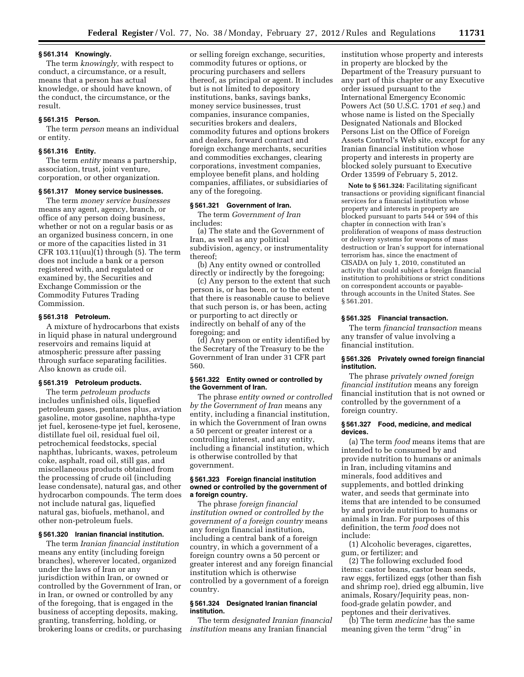#### **§ 561.314 Knowingly.**

The term *knowingly,* with respect to conduct, a circumstance, or a result, means that a person has actual knowledge, or should have known, of the conduct, the circumstance, or the result.

# **§ 561.315 Person.**

The term *person* means an individual or entity.

# **§ 561.316 Entity.**

The term *entity* means a partnership, association, trust, joint venture, corporation, or other organization.

# **§ 561.317 Money service businesses.**

The term *money service businesses*  means any agent, agency, branch, or office of any person doing business, whether or not on a regular basis or as an organized business concern, in one or more of the capacities listed in 31 CFR 103.11(uu)(1) through (5). The term does not include a bank or a person registered with, and regulated or examined by, the Securities and Exchange Commission or the Commodity Futures Trading Commission.

#### **§ 561.318 Petroleum.**

A mixture of hydrocarbons that exists in liquid phase in natural underground reservoirs and remains liquid at atmospheric pressure after passing through surface separating facilities. Also known as crude oil.

#### **§ 561.319 Petroleum products.**

The term *petroleum products*  includes unfinished oils, liquefied petroleum gases, pentanes plus, aviation gasoline, motor gasoline, naphtha-type jet fuel, kerosene-type jet fuel, kerosene, distillate fuel oil, residual fuel oil, petrochemical feedstocks, special naphthas, lubricants, waxes, petroleum coke, asphalt, road oil, still gas, and miscellaneous products obtained from the processing of crude oil (including lease condensate), natural gas, and other hydrocarbon compounds. The term does not include natural gas, liquefied natural gas, biofuels, methanol, and other non-petroleum fuels.

# **§ 561.320 Iranian financial institution.**

The term *Iranian financial institution*  means any entity (including foreign branches), wherever located, organized under the laws of Iran or any jurisdiction within Iran, or owned or controlled by the Government of Iran, or in Iran, or owned or controlled by any of the foregoing, that is engaged in the business of accepting deposits, making, granting, transferring, holding, or brokering loans or credits, or purchasing or selling foreign exchange, securities, commodity futures or options, or procuring purchasers and sellers thereof, as principal or agent. It includes but is not limited to depository institutions, banks, savings banks, money service businesses, trust companies, insurance companies, securities brokers and dealers, commodity futures and options brokers and dealers, forward contract and foreign exchange merchants, securities and commodities exchanges, clearing corporations, investment companies, employee benefit plans, and holding companies, affiliates, or subsidiaries of any of the foregoing.

# **§ 561.321 Government of Iran.**

The term *Government of Iran*  includes:

(a) The state and the Government of Iran, as well as any political subdivision, agency, or instrumentality thereof;

(b) Any entity owned or controlled directly or indirectly by the foregoing;

(c) Any person to the extent that such person is, or has been, or to the extent that there is reasonable cause to believe that such person is, or has been, acting or purporting to act directly or indirectly on behalf of any of the foregoing; and

(d) Any person or entity identified by the Secretary of the Treasury to be the Government of Iran under 31 CFR part 560.

# **§ 561.322 Entity owned or controlled by the Government of Iran.**

The phrase *entity owned or controlled by the Government of Iran* means any entity, including a financial institution, in which the Government of Iran owns a 50 percent or greater interest or a controlling interest, and any entity, including a financial institution, which is otherwise controlled by that government.

#### **§ 561.323 Foreign financial institution owned or controlled by the government of a foreign country.**

The phrase *foreign financial institution owned or controlled by the government of a foreign country* means any foreign financial institution, including a central bank of a foreign country, in which a government of a foreign country owns a 50 percent or greater interest and any foreign financial institution which is otherwise controlled by a government of a foreign country.

# **§ 561.324 Designated Iranian financial institution.**

The term *designated Iranian financial institution* means any Iranian financial

institution whose property and interests in property are blocked by the Department of the Treasury pursuant to any part of this chapter or any Executive order issued pursuant to the International Emergency Economic Powers Act (50 U.S.C. 1701 *et seq.*) and whose name is listed on the Specially Designated Nationals and Blocked Persons List on the Office of Foreign Assets Control's Web site, except for any Iranian financial institution whose property and interests in property are blocked solely pursuant to Executive Order 13599 of February 5, 2012.

**Note to § 561.324:** Facilitating significant transactions or providing significant financial services for a financial institution whose property and interests in property are blocked pursuant to parts 544 or 594 of this chapter in connection with Iran's proliferation of weapons of mass destruction or delivery systems for weapons of mass destruction or Iran's support for international terrorism has, since the enactment of CISADA on July 1, 2010, constituted an activity that could subject a foreign financial institution to prohibitions or strict conditions on correspondent accounts or payablethrough accounts in the United States. See § 561.201.

# **§ 561.325 Financial transaction.**

The term *financial transaction* means any transfer of value involving a financial institution.

# **§ 561.326 Privately owned foreign financial institution.**

The phrase *privately owned foreign financial institution* means any foreign financial institution that is not owned or controlled by the government of a foreign country.

#### **§ 561.327 Food, medicine, and medical devices.**

(a) The term *food* means items that are intended to be consumed by and provide nutrition to humans or animals in Iran, including vitamins and minerals, food additives and supplements, and bottled drinking water, and seeds that germinate into items that are intended to be consumed by and provide nutrition to humans or animals in Iran. For purposes of this definition, the term *food* does not include:

(1) Alcoholic beverages, cigarettes, gum, or fertilizer; and

(2) The following excluded food items: castor beans, castor bean seeds, raw eggs, fertilized eggs (other than fish and shrimp roe), dried egg albumin, live animals, Rosary/Jequirity peas, nonfood-grade gelatin powder, and peptones and their derivatives.

(b) The term *medicine* has the same meaning given the term ''drug'' in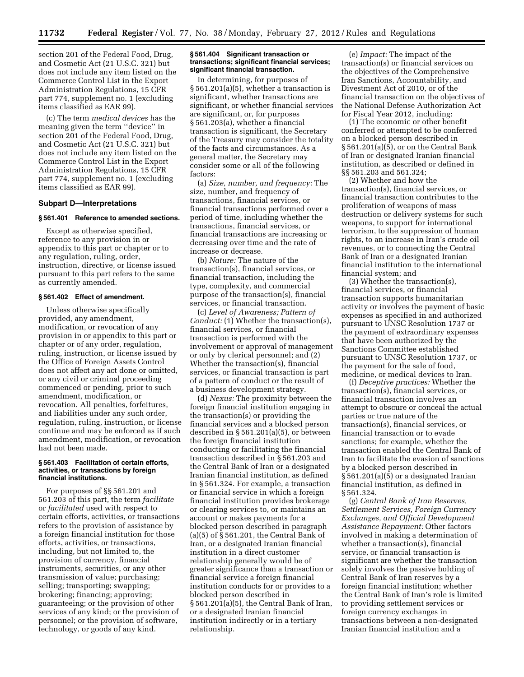section 201 of the Federal Food, Drug, and Cosmetic Act (21 U.S.C. 321) but does not include any item listed on the Commerce Control List in the Export Administration Regulations, 15 CFR part 774, supplement no. 1 (excluding items classified as EAR 99).

(c) The term *medical devices* has the meaning given the term ''device'' in section 201 of the Federal Food, Drug, and Cosmetic Act (21 U.S.C. 321) but does not include any item listed on the Commerce Control List in the Export Administration Regulations, 15 CFR part 774, supplement no. 1 (excluding items classified as EAR 99).

#### **Subpart D—Interpretations**

#### **§ 561.401 Reference to amended sections.**

Except as otherwise specified, reference to any provision in or appendix to this part or chapter or to any regulation, ruling, order, instruction, directive, or license issued pursuant to this part refers to the same as currently amended.

# **§ 561.402 Effect of amendment.**

Unless otherwise specifically provided, any amendment, modification, or revocation of any provision in or appendix to this part or chapter or of any order, regulation, ruling, instruction, or license issued by the Office of Foreign Assets Control does not affect any act done or omitted, or any civil or criminal proceeding commenced or pending, prior to such amendment, modification, or revocation. All penalties, forfeitures, and liabilities under any such order, regulation, ruling, instruction, or license continue and may be enforced as if such amendment, modification, or revocation had not been made.

#### **§ 561.403 Facilitation of certain efforts, activities, or transactions by foreign financial institutions.**

For purposes of §§ 561.201 and 561.203 of this part, the term *facilitate*  or *facilitated* used with respect to certain efforts, activities, or transactions refers to the provision of assistance by a foreign financial institution for those efforts, activities, or transactions, including, but not limited to, the provision of currency, financial instruments, securities, or any other transmission of value; purchasing; selling; transporting; swapping; brokering; financing; approving; guaranteeing; or the provision of other services of any kind; or the provision of personnel; or the provision of software, technology, or goods of any kind.

#### **§ 561.404 Significant transaction or transactions; significant financial services; significant financial transaction.**

In determining, for purposes of § 561.201(a)(5), whether a transaction is significant, whether transactions are significant, or whether financial services are significant, or, for purposes § 561.203(a), whether a financial transaction is significant, the Secretary of the Treasury may consider the totality of the facts and circumstances. As a general matter, the Secretary may consider some or all of the following factors:

(a) *Size, number, and frequency:* The size, number, and frequency of transactions, financial services, or financial transactions performed over a period of time, including whether the transactions, financial services, or financial transactions are increasing or decreasing over time and the rate of increase or decrease.

(b) *Nature:* The nature of the transaction(s), financial services, or financial transaction, including the type, complexity, and commercial purpose of the transaction(s), financial services, or financial transaction.

(c) *Level of Awareness; Pattern of Conduct:* (1) Whether the transaction(s), financial services, or financial transaction is performed with the involvement or approval of management or only by clerical personnel; and (2) Whether the transaction(s), financial services, or financial transaction is part of a pattern of conduct or the result of a business development strategy.

(d) *Nexus:* The proximity between the foreign financial institution engaging in the transaction(s) or providing the financial services and a blocked person described in § 561.201(a)(5), or between the foreign financial institution conducting or facilitating the financial transaction described in § 561.203 and the Central Bank of Iran or a designated Iranian financial institution, as defined in § 561.324. For example, a transaction or financial service in which a foreign financial institution provides brokerage or clearing services to, or maintains an account or makes payments for a blocked person described in paragraph (a) $(5)$  of  $\overline{S}$  561.201, the Central Bank of Iran, or a designated Iranian financial institution in a direct customer relationship generally would be of greater significance than a transaction or financial service a foreign financial institution conducts for or provides to a blocked person described in § 561.201(a)(5), the Central Bank of Iran, or a designated Iranian financial institution indirectly or in a tertiary relationship.

(e) *Impact:* The impact of the transaction(s) or financial services on the objectives of the Comprehensive Iran Sanctions, Accountability, and Divestment Act of 2010, or of the financial transaction on the objectives of the National Defense Authorization Act for Fiscal Year 2012, including:

(1) The economic or other benefit conferred or attempted to be conferred on a blocked person described in § 561.201(a)(5), or on the Central Bank of Iran or designated Iranian financial institution, as described or defined in §§ 561.203 and 561.324;

(2) Whether and how the transaction(s), financial services, or financial transaction contributes to the proliferation of weapons of mass destruction or delivery systems for such weapons, to support for international terrorism, to the suppression of human rights, to an increase in Iran's crude oil revenues, or to connecting the Central Bank of Iran or a designated Iranian financial institution to the international financial system; and

(3) Whether the transaction(s), financial services, or financial transaction supports humanitarian activity or involves the payment of basic expenses as specified in and authorized pursuant to UNSC Resolution 1737 or the payment of extraordinary expenses that have been authorized by the Sanctions Committee established pursuant to UNSC Resolution 1737, or the payment for the sale of food, medicine, or medical devices to Iran.

(f) *Deceptive practices:* Whether the transaction(s), financial services, or financial transaction involves an attempt to obscure or conceal the actual parties or true nature of the transaction(s), financial services, or financial transaction or to evade sanctions; for example, whether the transaction enabled the Central Bank of Iran to facilitate the evasion of sanctions by a blocked person described in § 561.201(a)(5) or a designated Iranian financial institution, as defined in § 561.324.

(g) *Central Bank of Iran Reserves, Settlement Services, Foreign Currency Exchanges, and Official Development Assistance Repayment:* Other factors involved in making a determination of whether a transaction(s), financial service, or financial transaction is significant are whether the transaction solely involves the passive holding of Central Bank of Iran reserves by a foreign financial institution; whether the Central Bank of Iran's role is limited to providing settlement services or foreign currency exchanges in transactions between a non-designated Iranian financial institution and a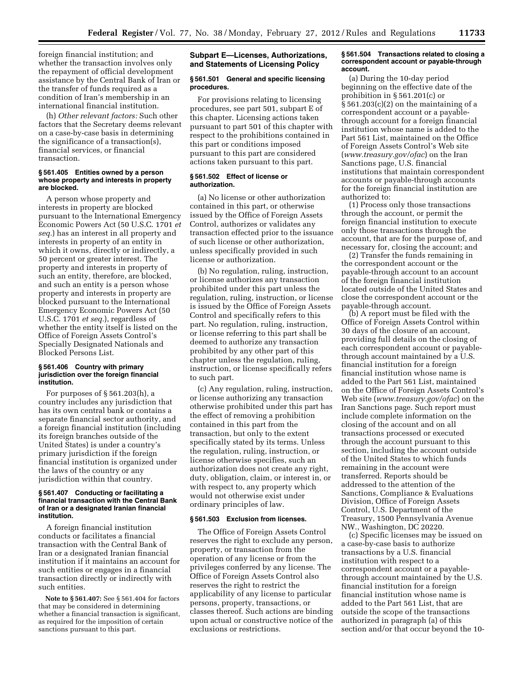foreign financial institution; and whether the transaction involves only the repayment of official development assistance by the Central Bank of Iran or the transfer of funds required as a condition of Iran's membership in an international financial institution.

(h) *Other relevant factors:* Such other factors that the Secretary deems relevant on a case-by-case basis in determining the significance of a transaction(s), financial services, or financial transaction.

#### **§ 561.405 Entities owned by a person whose property and interests in property are blocked.**

A person whose property and interests in property are blocked pursuant to the International Emergency Economic Powers Act (50 U.S.C. 1701 *et seq.*) has an interest in all property and interests in property of an entity in which it owns, directly or indirectly, a 50 percent or greater interest. The property and interests in property of such an entity, therefore, are blocked, and such an entity is a person whose property and interests in property are blocked pursuant to the International Emergency Economic Powers Act (50 U.S.C. 1701 *et seq.*), regardless of whether the entity itself is listed on the Office of Foreign Assets Control's Specially Designated Nationals and Blocked Persons List.

#### **§ 561.406 Country with primary jurisdiction over the foreign financial institution.**

For purposes of § 561.203(h), a country includes any jurisdiction that has its own central bank or contains a separate financial sector authority, and a foreign financial institution (including its foreign branches outside of the United States) is under a country's primary jurisdiction if the foreign financial institution is organized under the laws of the country or any jurisdiction within that country.

# **§ 561.407 Conducting or facilitating a financial transaction with the Central Bank of Iran or a designated Iranian financial institution.**

A foreign financial institution conducts or facilitates a financial transaction with the Central Bank of Iran or a designated Iranian financial institution if it maintains an account for such entities or engages in a financial transaction directly or indirectly with such entities.

**Note to § 561.407:** See § 561.404 for factors that may be considered in determining whether a financial transaction is significant, as required for the imposition of certain sanctions pursuant to this part.

# **Subpart E—Licenses, Authorizations, and Statements of Licensing Policy**

#### **§ 561.501 General and specific licensing procedures.**

For provisions relating to licensing procedures, see part 501, subpart E of this chapter. Licensing actions taken pursuant to part 501 of this chapter with respect to the prohibitions contained in this part or conditions imposed pursuant to this part are considered actions taken pursuant to this part.

# **§ 561.502 Effect of license or authorization.**

(a) No license or other authorization contained in this part, or otherwise issued by the Office of Foreign Assets Control, authorizes or validates any transaction effected prior to the issuance of such license or other authorization, unless specifically provided in such license or authorization.

(b) No regulation, ruling, instruction, or license authorizes any transaction prohibited under this part unless the regulation, ruling, instruction, or license is issued by the Office of Foreign Assets Control and specifically refers to this part. No regulation, ruling, instruction, or license referring to this part shall be deemed to authorize any transaction prohibited by any other part of this chapter unless the regulation, ruling, instruction, or license specifically refers to such part.

(c) Any regulation, ruling, instruction, or license authorizing any transaction otherwise prohibited under this part has the effect of removing a prohibition contained in this part from the transaction, but only to the extent specifically stated by its terms. Unless the regulation, ruling, instruction, or license otherwise specifies, such an authorization does not create any right, duty, obligation, claim, or interest in, or with respect to, any property which would not otherwise exist under ordinary principles of law.

# **§ 561.503 Exclusion from licenses.**

The Office of Foreign Assets Control reserves the right to exclude any person, property, or transaction from the operation of any license or from the privileges conferred by any license. The Office of Foreign Assets Control also reserves the right to restrict the applicability of any license to particular persons, property, transactions, or classes thereof. Such actions are binding upon actual or constructive notice of the exclusions or restrictions.

# **§ 561.504 Transactions related to closing a correspondent account or payable-through account.**

(a) During the 10-day period beginning on the effective date of the prohibition in § 561.201(c) or  $\S 561.203(c)(2)$  on the maintaining of a correspondent account or a payablethrough account for a foreign financial institution whose name is added to the Part 561 List, maintained on the Office of Foreign Assets Control's Web site (*[www.treasury.gov/ofac](http://www.treasury.gov/ofac)*) on the Iran Sanctions page, U.S. financial institutions that maintain correspondent accounts or payable-through accounts for the foreign financial institution are authorized to:

(1) Process only those transactions through the account, or permit the foreign financial institution to execute only those transactions through the account, that are for the purpose of, and necessary for, closing the account; and

(2) Transfer the funds remaining in the correspondent account or the payable-through account to an account of the foreign financial institution located outside of the United States and close the correspondent account or the payable-through account.

(b) A report must be filed with the Office of Foreign Assets Control within 30 days of the closure of an account, providing full details on the closing of each correspondent account or payablethrough account maintained by a U.S. financial institution for a foreign financial institution whose name is added to the Part 561 List, maintained on the Office of Foreign Assets Control's Web site (*[www.treasury.gov/ofac](http://www.treasury.gov/ofac)*) on the Iran Sanctions page. Such report must include complete information on the closing of the account and on all transactions processed or executed through the account pursuant to this section, including the account outside of the United States to which funds remaining in the account were transferred. Reports should be addressed to the attention of the Sanctions, Compliance & Evaluations Division, Office of Foreign Assets Control, U.S. Department of the Treasury, 1500 Pennsylvania Avenue NW., Washington, DC 20220.

(c) Specific licenses may be issued on a case-by-case basis to authorize transactions by a U.S. financial institution with respect to a correspondent account or a payablethrough account maintained by the U.S. financial institution for a foreign financial institution whose name is added to the Part 561 List, that are outside the scope of the transactions authorized in paragraph (a) of this section and/or that occur beyond the 10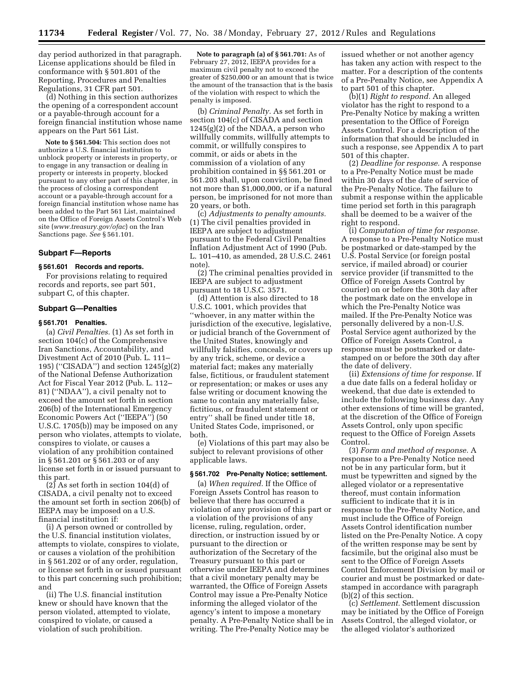day period authorized in that paragraph. License applications should be filed in conformance with § 501.801 of the Reporting, Procedures and Penalties Regulations, 31 CFR part 501.

(d) Nothing in this section authorizes the opening of a correspondent account or a payable-through account for a foreign financial institution whose name appears on the Part 561 List.

**Note to § 561.504:** This section does not authorize a U.S. financial institution to unblock property or interests in property, or to engage in any transaction or dealing in property or interests in property, blocked pursuant to any other part of this chapter, in the process of closing a correspondent account or a payable-through account for a foreign financial institution whose name has been added to the Part 561 List, maintained on the Office of Foreign Assets Control's Web site (*[www.treasury.gov/ofac](http://www.treasury.gov/ofac)*) on the Iran Sanctions page. *See* § 561.101.

# **Subpart F—Reports**

# **§ 561.601 Records and reports.**

For provisions relating to required records and reports, see part 501, subpart C, of this chapter.

#### **Subpart G—Penalties**

# **§ 561.701 Penalties.**

(a) *Civil Penalties.* (1) As set forth in section 104(c) of the Comprehensive Iran Sanctions, Accountability, and Divestment Act of 2010 (Pub. L. 111– 195) (''CISADA'') and section 1245(g)(2) of the National Defense Authorization Act for Fiscal Year 2012 (Pub. L. 112– 81) (''NDAA''), a civil penalty not to exceed the amount set forth in section 206(b) of the International Emergency Economic Powers Act (''IEEPA'') (50 U.S.C. 1705(b)) may be imposed on any person who violates, attempts to violate, conspires to violate, or causes a violation of any prohibition contained in § 561.201 or § 561.203 or of any license set forth in or issued pursuant to this part.

 $(2)$  As set forth in section 104(d) of CISADA, a civil penalty not to exceed the amount set forth in section 206(b) of IEEPA may be imposed on a U.S. financial institution if:

(i) A person owned or controlled by the U.S. financial institution violates, attempts to violate, conspires to violate, or causes a violation of the prohibition in § 561.202 or of any order, regulation, or license set forth in or issued pursuant to this part concerning such prohibition; and

(ii) The U.S. financial institution knew or should have known that the person violated, attempted to violate, conspired to violate, or caused a violation of such prohibition.

**Note to paragraph (a) of § 561.701:** As of February 27, 2012, IEEPA provides for a maximum civil penalty not to exceed the greater of \$250,000 or an amount that is twice the amount of the transaction that is the basis of the violation with respect to which the penalty is imposed.

(b) *Criminal Penalty.* As set forth in section 104(c) of CISADA and section  $1245(g)(2)$  of the NDAA, a person who willfully commits, willfully attempts to commit, or willfully conspires to commit, or aids or abets in the commission of a violation of any prohibition contained in §§ 561.201 or 561.203 shall, upon conviction, be fined not more than \$1,000,000, or if a natural person, be imprisoned for not more than 20 years, or both.

(c) *Adjustments to penalty amounts.*  (1) The civil penalties provided in IEEPA are subject to adjustment pursuant to the Federal Civil Penalties Inflation Adjustment Act of 1990 (Pub. L. 101–410, as amended, 28 U.S.C. 2461 note).

(2) The criminal penalties provided in IEEPA are subject to adjustment pursuant to 18 U.S.C. 3571.

(d) Attention is also directed to 18 U.S.C. 1001, which provides that ''whoever, in any matter within the jurisdiction of the executive, legislative, or judicial branch of the Government of the United States, knowingly and willfully falsifies, conceals, or covers up by any trick, scheme, or device a material fact; makes any materially false, fictitious, or fraudulent statement or representation; or makes or uses any false writing or document knowing the same to contain any materially false, fictitious, or fraudulent statement or entry'' shall be fined under title 18, United States Code, imprisoned, or both.

(e) Violations of this part may also be subject to relevant provisions of other applicable laws.

# **§ 561.702 Pre-Penalty Notice; settlement.**

(a) *When required.* If the Office of Foreign Assets Control has reason to believe that there has occurred a violation of any provision of this part or a violation of the provisions of any license, ruling, regulation, order, direction, or instruction issued by or pursuant to the direction or authorization of the Secretary of the Treasury pursuant to this part or otherwise under IEEPA and determines that a civil monetary penalty may be warranted, the Office of Foreign Assets Control may issue a Pre-Penalty Notice informing the alleged violator of the agency's intent to impose a monetary penalty. A Pre-Penalty Notice shall be in writing. The Pre-Penalty Notice may be

issued whether or not another agency has taken any action with respect to the matter. For a description of the contents of a Pre-Penalty Notice, see Appendix A to part 501 of this chapter.

(b)(1) *Right to respond.* An alleged violator has the right to respond to a Pre-Penalty Notice by making a written presentation to the Office of Foreign Assets Control. For a description of the information that should be included in such a response, see Appendix A to part 501 of this chapter.

(2) *Deadline for response.* A response to a Pre-Penalty Notice must be made within 30 days of the date of service of the Pre-Penalty Notice. The failure to submit a response within the applicable time period set forth in this paragraph shall be deemed to be a waiver of the right to respond.

(i) *Computation of time for response.*  A response to a Pre-Penalty Notice must be postmarked or date-stamped by the U.S. Postal Service (or foreign postal service, if mailed abroad) or courier service provider (if transmitted to the Office of Foreign Assets Control by courier) on or before the 30th day after the postmark date on the envelope in which the Pre-Penalty Notice was mailed. If the Pre-Penalty Notice was personally delivered by a non-U.S. Postal Service agent authorized by the Office of Foreign Assets Control, a response must be postmarked or datestamped on or before the 30th day after the date of delivery.

(ii) *Extensions of time for response.* If a due date falls on a federal holiday or weekend, that due date is extended to include the following business day. Any other extensions of time will be granted, at the discretion of the Office of Foreign Assets Control, only upon specific request to the Office of Foreign Assets Control.

(3) *Form and method of response.* A response to a Pre-Penalty Notice need not be in any particular form, but it must be typewritten and signed by the alleged violator or a representative thereof, must contain information sufficient to indicate that it is in response to the Pre-Penalty Notice, and must include the Office of Foreign Assets Control identification number listed on the Pre-Penalty Notice. A copy of the written response may be sent by facsimile, but the original also must be sent to the Office of Foreign Assets Control Enforcement Division by mail or courier and must be postmarked or datestamped in accordance with paragraph (b)(2) of this section.

(c) *Settlement.* Settlement discussion may be initiated by the Office of Foreign Assets Control, the alleged violator, or the alleged violator's authorized